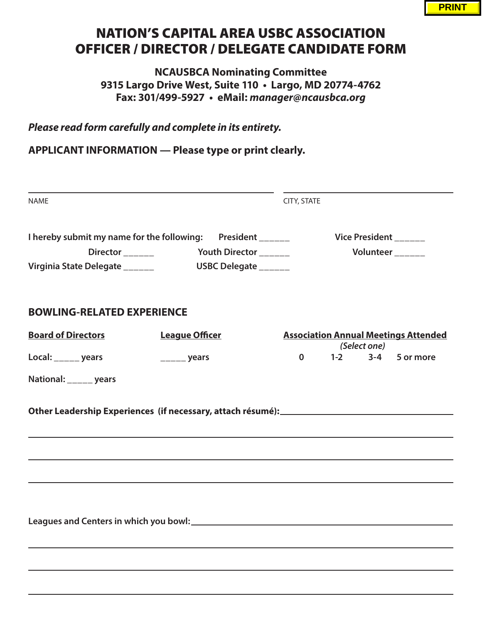## NATION'S CAPITAL AREA USBC ASSOCIATION OFFICER / DIRECTOR / DELEGATE CANDIDATE FORM

**NCAUSBCA Nominating Committee 9315 Largo Drive West, Suite 110 • Largo, MD 20774-4762 Fax: 301/499-5927 • eMail: manager@ncausbca.org**

**Please read form carefully and complete in its entirety.**

**APPLICANT INFORMATION — Please type or print clearly.**

| <b>NAME</b>                                                                                                                 |                                               | CITY, STATE                                                   |  |  |  |
|-----------------------------------------------------------------------------------------------------------------------------|-----------------------------------------------|---------------------------------------------------------------|--|--|--|
| I hereby submit my name for the following: President ______<br>Director <sub>_____</sub><br>Virginia State Delegate _______ | Youth Director ______<br>USBC Delegate ______ | Vice President ______<br>Volunteer                            |  |  |  |
| <b>BOWLING-RELATED EXPERIENCE</b>                                                                                           |                                               |                                                               |  |  |  |
| <b>Board of Directors</b>                                                                                                   | <b>League Officer</b>                         | <b>Association Annual Meetings Attended</b>                   |  |  |  |
| Local: _____ years                                                                                                          | $\frac{1}{1}$ years                           | (Select one)<br>$1-2$<br>$3 - 4$<br>$\mathbf{0}$<br>5 or more |  |  |  |
| National: _____ years                                                                                                       |                                               |                                                               |  |  |  |
| ,我们也不会有什么。""我们的人,我们也不会有什么?""我们的人,我们也不会有什么?""我们的人,我们也不会有什么?""我们的人,我们也不会有什么?""我们的人                                            |                                               |                                                               |  |  |  |
|                                                                                                                             |                                               |                                                               |  |  |  |
|                                                                                                                             |                                               |                                                               |  |  |  |
|                                                                                                                             |                                               |                                                               |  |  |  |